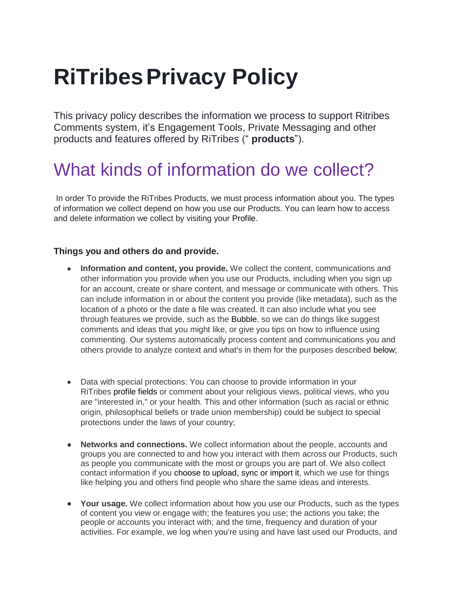# **RiTribesPrivacy Policy**

This privacy policy describes the information we process to support Ritribes Comments system, it's Engagement Tools, Private Messaging and other products and features offered by RiTribes (" **products**").

### <span id="page-0-0"></span>What kinds of information do we collect?

In order To provide the RiTribes Products, we must process information about you. The types of information we collect depend on how you use our Products. You can learn how to access and delete information we collect by visiting your Profile.

#### **Things you and others do and provide.**

- **Information and content, you provide.** We collect the content, communications and other information you provide when you use our Products, including when you sign up for an account, create or share content, and message or communicate with others. This can include information in or about the content you provide (like metadata), such as the location of a photo or the date a file was created. It can also include what you see through features we provide, such as the Bubble, so we can do things like suggest comments and ideas that you might like, or give you tips on how to influence using commenting. Our systems automatically process content and communications you and others provide to analyze context and what's in them for the purposes described below;
- Data with special protections: You can choose to provide information in your RiTribes profile fields or comment about your religious views, political views, who you are "interested in," or your health. This and other information (such as racial or ethnic origin, philosophical beliefs or trade union membership) could be subject to special protections under the laws of your country;
- **Networks and connections.** We collect information about the people, accounts and groups you are connected to and how you interact with them across our Products, such as people you communicate with the most or groups you are part of. We also collect contact information if you choose to upload, sync or import it, which we use for things like helping you and others find people who share the same ideas and interests.
- **Your usage.** We collect information about how you use our Products, such as the types of content you view or engage with; the features you use; the actions you take; the people or accounts you interact with; and the time, frequency and duration of your activities. For example, we log when you're using and have last used our Products, and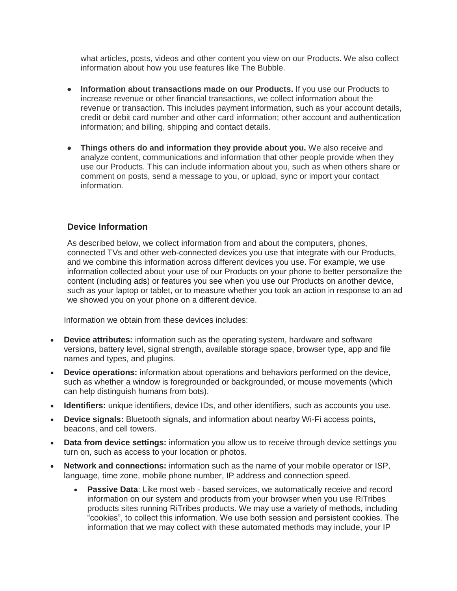what articles, posts, videos and other content you view on our Products. We also collect information about how you use features like The Bubble.

- **Information about transactions made on our Products.** If you use our Products to increase revenue or other financial transactions, we collect information about the revenue or transaction. This includes payment information, such as your account details, credit or debit card number and other card information; other account and authentication information; and billing, shipping and contact details.
- **Things others do and information they provide about you.** We also receive and analyze content, communications and information that other people provide when they use our Products. This can include information about you, such as when others share or comment on posts, send a message to you, or upload, sync or import your contact information.

#### **Device Information**

As described below, we collect information from and about the computers, phones, connected TVs and other web-connected devices you use that integrate with our Products, and we combine this information across different devices you use. For example, we use information collected about your use of our Products on your phone to better personalize the content (including ads) or features you see when you use our Products on another device, such as your laptop or tablet, or to measure whether you took an action in response to an ad we showed you on your phone on a different device.

Information we obtain from these devices includes:

- **Device attributes:** information such as the operating system, hardware and software versions, battery level, signal strength, available storage space, browser type, app and file names and types, and plugins.
- **Device operations:** information about operations and behaviors performed on the device, such as whether a window is foregrounded or backgrounded, or mouse movements (which can help distinguish humans from bots).
- **Identifiers:** unique identifiers, device IDs, and other identifiers, such as accounts you use.
- **Device signals:** Bluetooth signals, and information about nearby Wi-Fi access points, beacons, and cell towers.
- **Data from device settings:** information you allow us to receive through device settings you turn on, such as access to your location or photos.
- **Network and connections:** information such as the name of your mobile operator or ISP, language, time zone, mobile phone number, IP address and connection speed.
	- **Passive Data**: Like most web based services, we automatically receive and record information on our system and products from your browser when you use RiTribes products sites running RiTribes products. We may use a variety of methods, including "cookies", to collect this information. We use both session and persistent cookies. The information that we may collect with these automated methods may include, your IP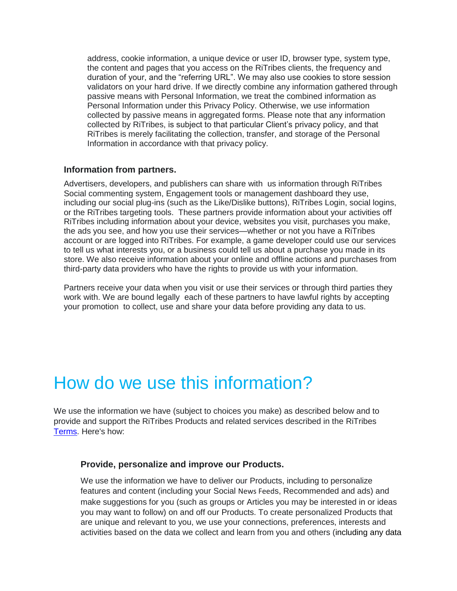address, cookie information, a unique device or user ID, browser type, system type, the content and pages that you access on the RiTribes clients, the frequency and duration of your, and the "referring URL". We may also use cookies to store session validators on your hard drive. If we directly combine any information gathered through passive means with Personal Information, we treat the combined information as Personal Information under this Privacy Policy. Otherwise, we use information collected by passive means in aggregated forms. Please note that any information collected by RiTribes, is subject to that particular Client's privacy policy, and that RiTribes is merely facilitating the collection, transfer, and storage of the Personal Information in accordance with that privacy policy.

#### **Information from partners.**

Advertisers, developers, and publishers can share with us information through RiTribes Social commenting system, Engagement tools or management dashboard they use, including our social plug-ins (such as the Like/Dislike buttons), RiTribes Login, social logins, or the RiTribes targeting tools. These partners provide information about your activities off RiTribes including information about your device, websites you visit, purchases you make, the ads you see, and how you use their services—whether or not you have a RiTribes account or are logged into RiTribes. For example, a game developer could use our services to tell us what interests you, or a business could tell us about a purchase you made in its store. We also receive information about your online and offline actions and purchases from third-party data providers who have the rights to provide us with your information.

Partners receive your data when you visit or use their services or through third parties they work with. We are bound legally each of these partners to have lawful rights by accepting your promotion to collect, use and share your data before providing any data to us.

### How do we use this information?

We use the information we have (subject to choices you make) as described below and to provide and support the RiTribes Products and related services described in the RiTribes [Terms.](https://j3b9v3f8.ssl.hwcdn.net/ritribes/static/Docs/Docs/Terms_v2.pdf) Here's how:

#### **Provide, personalize and improve our Products.**

We use the information we have to deliver our Products, including to personalize features and content (including your Social [News Feed](https://www.facebook.com/help/166738576721085?ref=dp)s, Recommended and ads) and make suggestions for you (such as groups or Articles you may be interested in or ideas you may want to follow) on and off our Products. To create personalized Products that are unique and relevant to you, we use your connections, preferences, interests and activities based on the data we collect and learn from you and others (including any [data](#page-0-0)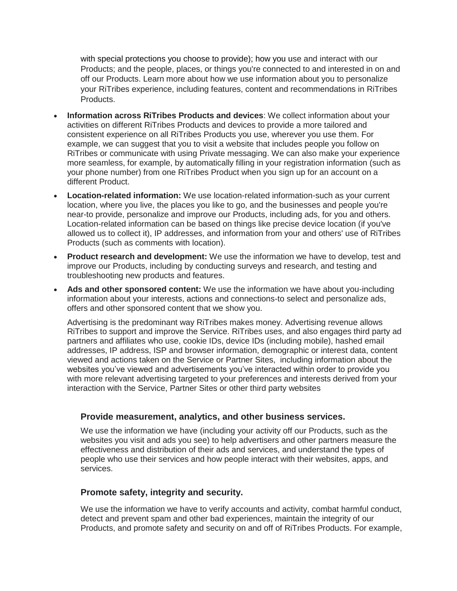[with special protections](#page-0-0) you choose to provide); how you use and interact with our Products; and the people, places, or things you're connected to and interested in on and off our Products. Learn more about how we use information about you to personalize your RiTribes experience, including features, content and recommendations in RiTribes Products.

- **Information across RiTribes Products and devices**: We collect information about your activities on different RiTribes Products and devices to provide a more tailored and consistent experience on all RiTribes Products you use, wherever you use them. For example, we can suggest that you to visit a website that includes people you follow on RiTribes or communicate with using Private messaging. We can also make your experience more seamless, for example, by automatically filling in your registration information (such as your phone number) from one RiTribes Product when you sign up for an account on a different Product.
- **Location-related information:** We use [location-related information-](https://www.facebook.com/about/basics/manage-your-privacy/location)such as your current location, where you live, the places you like to go, and the businesses and people you're near-to provide, personalize and improve our Products, [including ads,](https://www.facebook.com/about/ads) for you and others. Location-related information can be based on things like precise device location (if you've allowed us to collect it), IP addresses, and information from your and others' use of RiTribes Products (such as comments with location).
- **Product research and development:** We use the information we have to develop, test and improve our Products, including by conducting surveys and research, and testing and troubleshooting new products and features.
- **Ads and other sponsored content:** We use the information we have about you-including information about your interests, actions and connections-to select and personalize ads, offers and other sponsored content that we show you.

Advertising is the predominant way RiTribes makes money. Advertising revenue allows RiTribes to support and improve the Service. RiTribes uses, and also engages third party ad partners and affiliates who use, cookie IDs, device IDs (including mobile), hashed email addresses, IP address, ISP and browser information, demographic or interest data, content viewed and actions taken on the Service or Partner Sites, including information about the websites you've viewed and advertisements you've interacted within order to provide you with more relevant advertising targeted to your preferences and interests derived from your interaction with the Service, Partner Sites or other third party websites

#### **Provide measurement, analytics, and other business services.**

We use the information we have (including your activity off our Products, such as the websites you visit and ads you see) to help advertisers and other partners measure the effectiveness and distribution of their ads and services, and understand the types of people who use their services and how people interact with their websites, apps, and services.

#### **Promote safety, integrity and security.**

We use the information we have to verify accounts and activity, combat harmful conduct, detect and prevent spam and other bad experiences, maintain the integrity of our Products, and promote safety and security on and off of RiTribes Products. For example,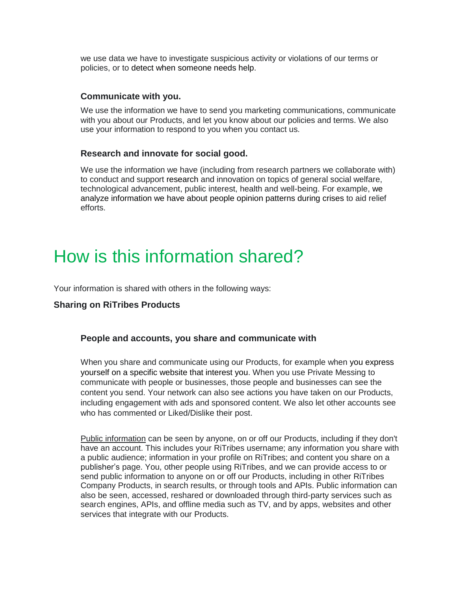we use data we have to investigate suspicious activity or violations of our terms or policies, or to detect when someone needs help.

#### **Communicate with you.**

We use the information we have to send you marketing communications, communicate with you about our Products, and let you know about our policies and terms. We also use your information to respond to you when you contact us.

#### **Research and innovate for social good.**

We use the information we have (including from research partners we collaborate with) to conduct and support research and innovation on topics of general social welfare, technological advancement, public interest, health and well-being. For example, we analyze information we have about people opinion patterns during crises to aid relief efforts.

### How is this information shared?

Your information is shared with others in the following ways:

#### **Sharing on RiTribes Products**

#### **People and accounts, you share and communicate with**

When you share and communicate using our Products, for example when you express yourself on a specific website that interest you. When you use Private Messing to communicate with people or businesses, those people and businesses can see the content you send. Your network can also see actions you have taken on our Products, including engagement with ads and sponsored content. We also let other accounts see who has commented or Liked/Dislike their post.

Public information can be seen by anyone, on or off our Products, including if they don't have an account. This includes your RiTribes username; any information you share with a public audience; information in your profile on RiTribes; and content you share on a publisher's page. You, other people using RiTribes, and we can provide access to or send public information to anyone on or off our Products, including in other RiTribes Company Products, in search results, or through tools and APIs. Public information can also be seen, accessed, reshared or downloaded through third-party services such as search engines, APIs, and offline media such as TV, and by apps, websites and other services that integrate with our Products.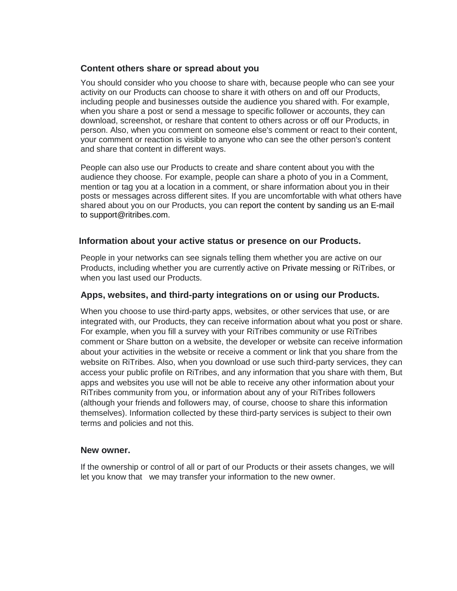#### **Content others share or spread about you**

You should consider who you choose to share with, because people who can see your activity on our Products can choose to share it with others on and off our Products, including people and businesses outside the audience you shared with. For example, when you share a post or send a message to specific follower or accounts, they can download, screenshot, or reshare that content to others across or off our Products, in person. Also, when you comment on someone else's comment or react to their content, your comment or reaction is visible to anyone who can see the other person's content and share that content in different ways.

People can also use our Products to create and share content about you with the audience they choose. For example, people can share a photo of you in a Comment, mention or tag you at a location in a comment, or share information about you in their posts or messages across different sites. If you are uncomfortable with what others have shared about you on our Products, you can report the content [by sanding us an E-mail](file:///C:/Users/riant/OneDrive/Documents/Rian/Work/RiTribes/America/Link%20to%20help%20center,%20how%20to%20report%20a%20comment)  [to support@ritribes.com.](file:///C:/Users/riant/OneDrive/Documents/Rian/Work/RiTribes/America/Link%20to%20help%20center,%20how%20to%20report%20a%20comment)

#### **Information about your active status or presence on our Products.**

People in your networks can see signals telling them whether you are active on our Products, including whether you are currently active on Private messing or RiTribes, or when you last used our Products.

#### **Apps, websites, and third-party integrations on or using our Products.**

When you choose to use third-party apps, websites, or other services that use, or are integrated with, our Products, they can receive information about what you post or share. For example, when you fill a survey with your RiTribes community or use RiTribes comment or Share button on a website, the developer or website can receive information about your activities in the website or receive a comment or link that you share from the website on RiTribes. Also, when you download or use such third-party services, they can access your [public profile](https://www.facebook.com/help/203805466323736?ref=dp) on RiTribes, and any information that you share with them, But apps and websites you use will not be able to receive any other information about your RiTribes community from you, or information about any of your RiTribes followers (although your friends and followers may, of course, choose to share this information themselves). Information collected by these third-party services is subject to their own terms and policies and not this.

#### **New owner.**

If the ownership or control of all or part of our Products or their assets changes, we will let you know that we may transfer your information to the new owner.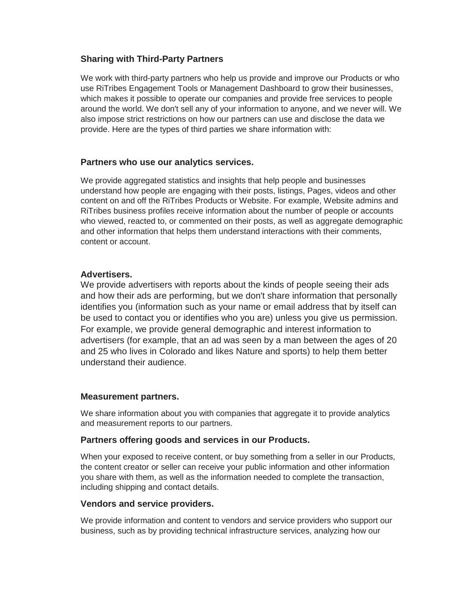#### **Sharing with Third-Party Partners**

We work with third-party partners who help us provide and improve our Products or who use RiTribes Engagement Tools or Management Dashboard to grow their businesses, which makes it possible to operate our companies and provide free services to people around the world. We don't sell any of your information to anyone, and we never will. We also impose strict restrictions on how our partners can use and disclose the data we provide. Here are the types of third parties we share information with:

#### **Partners who use our analytics services.**

We provide aggregated statistics and insights that help people and businesses understand how people are engaging with their posts, listings, Pages, videos and other content on and off the RiTribes Products or Website. For example, Website admins and RiTribes business profiles receive information about the number of people or accounts who viewed, reacted to, or commented on their posts, as well as aggregate demographic and other information that helps them understand interactions with their comments, content or account.

#### **Advertisers.**

We provide advertisers with reports about the kinds of people seeing their ads and how their ads are performing, but we don't share information that personally identifies you (information such as your name or email address that by itself can be used to contact you or identifies who you are) unless you give us permission. For example, we provide general demographic and interest information to advertisers (for example, that an ad was seen by a man between the ages of 20 and 25 who lives in Colorado and likes Nature and sports) to help them better understand their audience.

#### **Measurement partners.**

We share information about you with companies that aggregate it to provide analytics and measurement reports to our partners.

#### **Partners offering goods and services in our Products.**

When your exposed to receive content, or buy something from a seller in our Products, the content creator or seller can receive your public information and other information you share with them, as well as the information needed to complete the transaction, including shipping and contact details.

#### **Vendors and service providers.**

We provide information and content to vendors and service providers who support our business, such as by providing technical infrastructure services, analyzing how our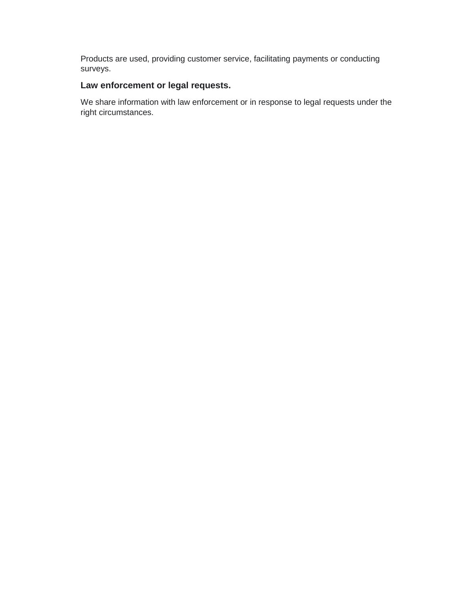Products are used, providing customer service, facilitating payments or conducting surveys.

#### **Law enforcement or legal requests.**

We share information with law enforcement or in response to legal requests under the right circumstances.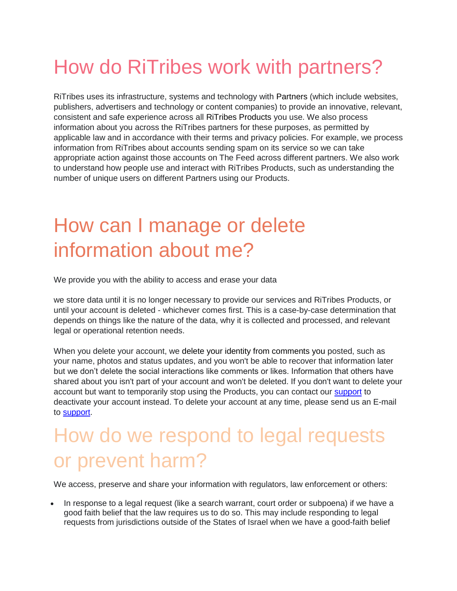## How do RiTribes work with partners?

RiTribes uses its infrastructure, systems and technology with Partners (which include websites, publishers, advertisers and technology or content companies) to provide an innovative, relevant, consistent and safe experience across all RiTribes Products you use. We also process information about you across the RiTribes partners for these purposes, as permitted by applicable law and in accordance with their terms and privacy policies. For example, we process information from RiTribes about accounts sending spam on its service so we can take appropriate action against those accounts on The Feed across different partners. We also work to understand how people use and interact with RiTribes Products, such as understanding the number of unique users on different Partners using our Products.

### How can I manage or delete information about me?

We provide you with the ability to access and erase your data

we store data until it is no longer necessary to provide our services and RiTribes Products, or until your account is deleted - whichever comes first. This is a case-by-case determination that depends on things like the nature of the data, why it is collected and processed, and relevant legal or operational retention needs.

When you delete your account, we delete your identity from comments you posted, such as your name, photos and status updates, and you won't be able to recover that information later but we don't delete the social interactions like comments or likes. Information that others have shared about you isn't part of your account and won't be deleted. If you don't want to delete your account but want to temporarily stop using the Products, you can contact our [support](mailto:support@ritribes.com) to deactivate your account instead. To delete your account at any time, please send us an E-mail to [support.](mailto:support@ritribes.com)

### How do we respond to legal requests or prevent harm?

We access, preserve and share your information with regulators, law enforcement or others:

• In response to a legal request (like a search warrant, court order or subpoena) if we have a good faith belief that the law requires us to do so. This may include responding to legal requests from jurisdictions outside of the States of Israel when we have a good-faith belief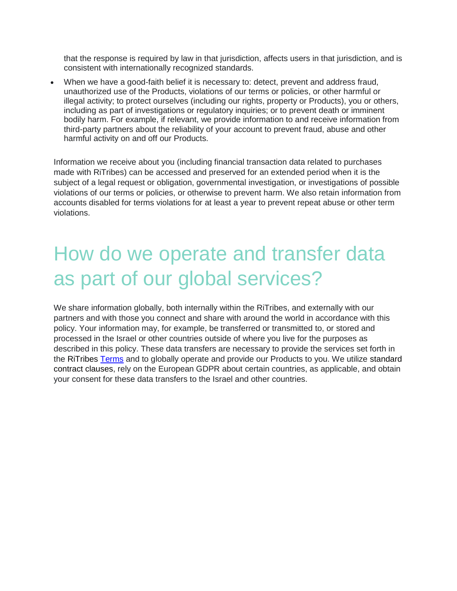that the response is required by law in that jurisdiction, affects users in that jurisdiction, and is consistent with internationally recognized standards.

• When we have a good-faith belief it is necessary to: detect, prevent and address fraud, unauthorized use of the Products, violations of our terms or policies, or other harmful or illegal activity; to protect ourselves (including our rights, property or Products), you or others, including as part of investigations or regulatory inquiries; or to prevent death or imminent bodily harm. For example, if relevant, we provide information to and receive information from third-party partners about the reliability of your account to prevent fraud, abuse and other harmful activity on and off our Products.

Information we receive about you (including financial transaction data related to purchases made with RiTribes) can be accessed and preserved for an extended period when it is the subject of a legal request or obligation, governmental investigation, or investigations of possible violations of our terms or policies, or otherwise to prevent harm. We also retain information from accounts disabled for terms violations for at least a year to prevent repeat abuse or other term violations.

### How do we operate and transfer data as part of our global services?

We share information globally, both internally within the RiTribes, and externally with our partners and with those you connect and share with around the world in accordance with this policy. Your information may, for example, be transferred or transmitted to, or stored and processed in the Israel or other countries outside of where you live for the purposes as described in this policy. These data transfers are necessary to provide the services set forth in the RiTribes [Terms](https://j3b9v3f8.ssl.hwcdn.net/ritribes/static/Docs/Docs/Terms_v2.pdf) and to globally operate and provide our Products to you. We utilize standard contract clauses, rely on the European GDPR about certain countries, as applicable, and obtain your consent for these data transfers to the Israel and other countries.